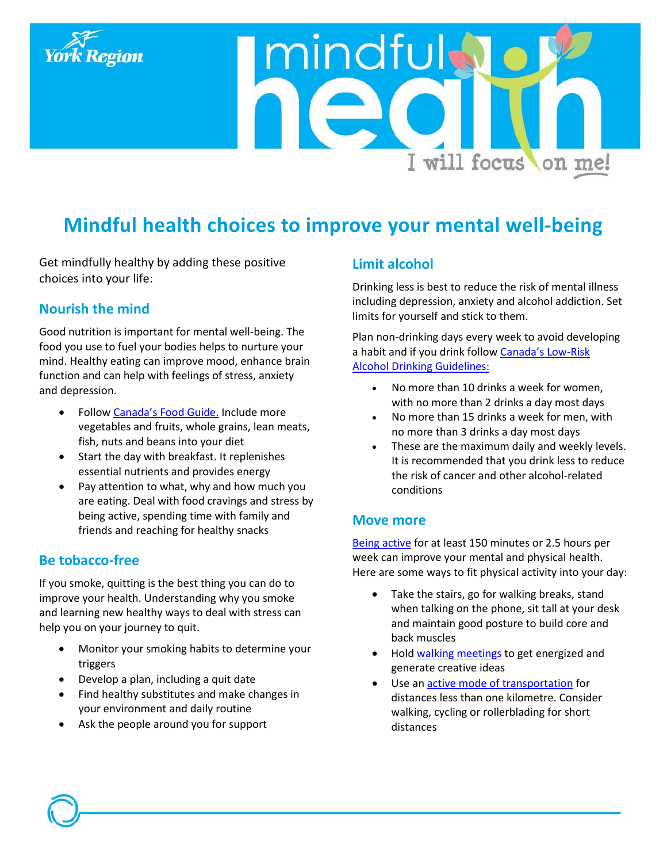

# **Mindful health choices to improve your mental well-being**

mindful

Get mindfully healthy by adding these positive choices into your life:

## **Nourish the mind**

Good nutrition is important for mental well-being. The food you use to fuel your bodies helps to nurture your mind. Healthy eating can improve mood, enhance brain function and can help with feelings of stress, anxiety and depression.

- Follow [Canada's Food Guide.](http://www.canadasfoodguide.net/) Include more vegetables and fruits, whole grains, lean meats, fish, nuts and beans into your diet
- Start the day with breakfast. It replenishes essential nutrients and provides energy
- Pay attention to what, why and how much you are eating. Deal with food cravings and stress by being active, spending time with family and friends and reaching for healthy snacks

## **Be tobacco-free**

If you smoke, quitting is the best thing you can do to improve your health. Understanding why you smoke and learning new healthy ways to deal with stress can help you on your journey to quit.

- Monitor your smoking habits to determine your triggers
- Develop a plan, including a quit date
- Find healthy substitutes and make changes in your environment and daily routine
- Ask the people around you for support

## **Limit alcohol**

Drinking less is best to reduce the risk of mental illness including depression, anxiety and alcohol addiction. Set limits for yourself and stick to them.

I will focus on me!

Plan non-drinking days every week to avoid developing a habit and if you drink follow [Canada's Low-Risk](http://www.ccsa.ca/Resource%20Library/2012-Canada-Low-Risk-Alcohol-Drinking-Guidelines-Brochure-en.pdf)  [Alcohol Drinking Guidelines:](http://www.ccsa.ca/Resource%20Library/2012-Canada-Low-Risk-Alcohol-Drinking-Guidelines-Brochure-en.pdf)

- No more than 10 drinks a week for women, with no more than 2 drinks a day most days
- No more than 15 drinks a week for men, with no more than 3 drinks a day most days
- These are the maximum daily and weekly levels. It is recommended that you drink less to reduce the risk of cancer and other alcohol-related conditions

## **Move more**

[Being active](http://www.csep.ca/CMFIles/Guidelines/CSEP_PAGuidelines_adults_en.pdf) for at least 150 minutes or 2.5 hours per week can improve your mental and physical health. Here are some ways to fit physical activity into your day:

- Take the stairs, go for walking breaks, stand when talking on the phone, sit tall at your desk and maintain good posture to build core and back muscles
- Hold [walking meetings](http://www.victoriawalks.org.au/walking_meeting/) to get energized and generate creative ideas
- Use an [active mode of transportation](http://www.york.ca/wps/portal/yorkhome/health/yr/physicalactivity/activetransportation/activetransportation/!ut/p/a1/vZJNc4IwEIZ_iwePTJaEj3ikaAU6Rae2KlycCAix8iGmTumvL1gPbUdr7TDNIZPd2by7--wiH82Rn7E9j5ngecY2je1rC9sY2pZ1B85IoSYYMDIcrFMY9OQ6wKsD4Mwx4NL_GfKRH2SiEAnyqnIR5JmIMtGFKi-fa2MnuHg5OJI8jeo7YhuRdKFIqh0P2IYFgu-5qLpweEWiZNmuyEtx6OC0t0lZsDgKox2PP6yAh8jT1FBTAxJK6lIOJUVhK4npmEoMQwBLovV6gY6cXxDB5b15HzdJRCLxbJWj-fd60fxkZWe8yOPr7dY3alQNn1eB5v_F6jCgzx0PJ1QBe-roxlQegWKTYwDGimbJJjhgjSjYt_pY7VNLhjt8DPhhSbx6i_SzUB8wmlw5pQuCctuCpGVBHdoWbJuh_teWHRtM2WgWiQwIGNg26Q1xqOu2zdBtm6HbNkO37T2cXt9ykT6ldL1KZ_2KAB-n6cJ1JbakQNRi__a4-uKIO513bPbZLQ!!/dl5/d5/L2dBISEvZ0FBIS9nQSEh/%23.VT5TttIzZD_) for distances less than one kilometre. Consider walking, cycling or rollerblading for short distances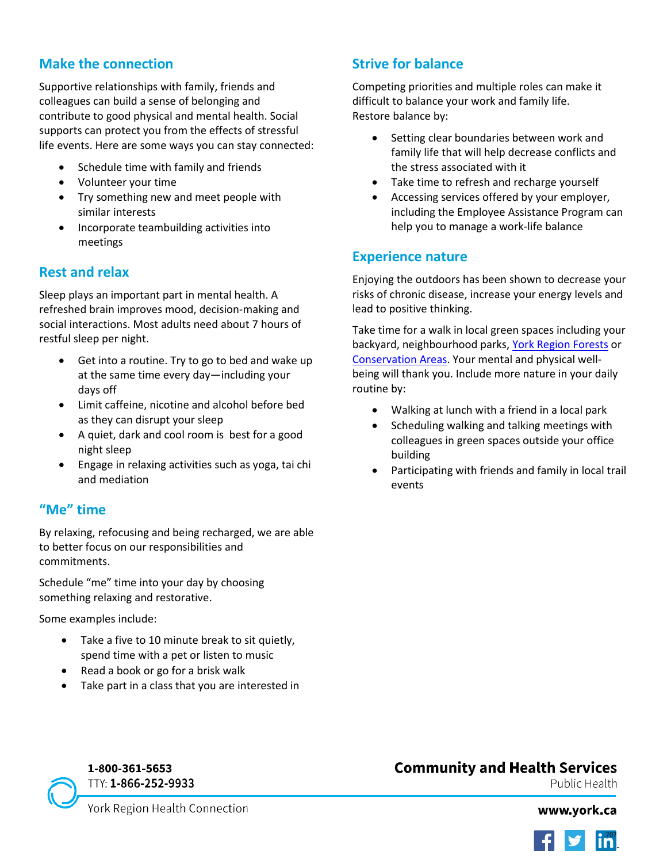# **Make the connection**

Supportive relationships with family, friends and colleagues can build a sense of belonging and contribute to good physical and mental health. Social supports can protect you from the effects of stressful life events. Here are some ways you can stay connected:

- Schedule time with family and friends
- Volunteer your time
- Try something new and meet people with similar interests
- Incorporate teambuilding activities into meetings

## **Rest and relax**

Sleep plays an important part in mental health. A refreshed brain improves mood, decision-making and social interactions. Most adults need about 7 hours of restful sleep per night.

- Get into a routine. Try to go to bed and wake up at the same time every day—including your days off
- Limit caffeine, nicotine and alcohol before bed as they can disrupt your sleep
- A quiet, dark and cool room is best for a good night sleep
- Engage in relaxing activities such as yoga, tai chi and mediation

# **"Me" time**

By relaxing, refocusing and being recharged, we are able to better focus on our responsibilities and commitments.

Schedule "me" time into your day by choosing something relaxing and restorative.

Some examples include:

- Take a five to 10 minute break to sit quietly, spend time with a pet or listen to music
- Read a book or go for a brisk walk
- Take part in a class that you are interested in

# **Strive for balance**

Competing priorities and multiple roles can make it difficult to balance your work and family life. Restore balance by:

- Setting clear boundaries between work and family life that will help decrease conflicts and the stress associated with it
- Take time to refresh and recharge yourself
- Accessing services offered by your employer, including the Employee Assistance Program can help you to manage a work-life balance

## **Experience nature**

Enjoying the outdoors has been shown to decrease your risks of chronic disease, increase your energy levels and lead to positive thinking.

Take time for a walk in local green spaces including your backyard, neighbourhood parks, [York Region Forests](http://www.york.ca/wps/portal/yorkhome/recreation/yr/yorkregionalforest/!ut/p/a1/jZDBbsIwDEC_hUOPNCZAG3GLCltaQJ00JEIuU4rStKI0VZqtYl-_rNIOk7Yx32w9289GAnEkWvlWa-lq08rmMxfRS0ofU8a2kOULkgCFnGY4JrA5gAdOHoBfgsK9_uwfC7DdJ3uNRCddNa3b0iB-M_ZilR4lS2NV79ARiXEWxouIzRLIgOUE0of4abkmbAYRvgNsv4A_rvG6ujHF-JkTbYs58V5WlcoqG75aX66c6_pVAAEMwxBqY3SjwrMM4KeOynhx_g1E3ZW_78rndCqK20Ankw_mQzm8/dl5/d5/L2dBISEvZ0FBIS9nQSEh/%23.VnMbk7bR-Uk) or [Conservation Areas.](http://www.conservationontario.ca/) Your mental and physical wellbeing will thank you. Include more nature in your daily routine by:

- Walking at lunch with a friend in a local park
- Scheduling walking and talking meetings with colleagues in green spaces outside your office building
- Participating with friends and family in local trail events

# **Community and Health Services**

Public Health



York Region Health Connection

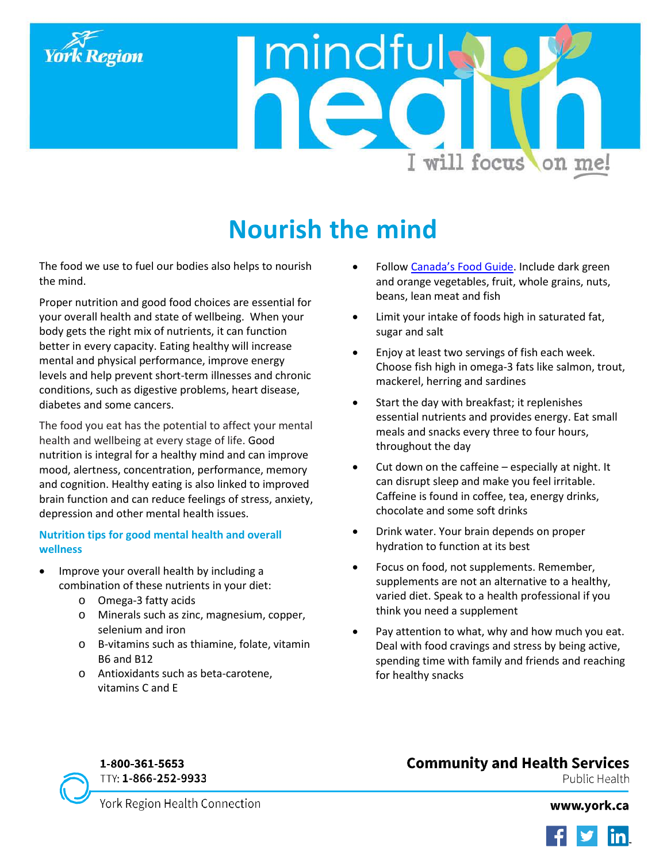

mindful I will focus on me!

# **Nourish the mind**

The food we use to fuel our bodies also helps to nourish the mind.

Proper nutrition and good food choices are essential for your overall health and state of wellbeing. When your body gets the right mix of nutrients, it can function better in every capacity. Eating healthy will increase mental and physical performance, improve energy levels and help prevent short-term illnesses and chronic conditions, such as digestive problems, heart disease, diabetes and some cancers.

The food you eat has the potential to affect your mental health and wellbeing at every stage of life. Good nutrition is integral for a healthy mind and can improve mood, alertness, concentration, performance, memory and cognition. Healthy eating is also linked to improved brain function and can reduce feelings of stress, anxiety, depression and other mental health issues.

#### **Nutrition tips for good mental health and overall wellness**

- Improve your overall health by including a combination of these nutrients in your diet:
	- o Omega-3 fatty acids
	- o Minerals such as zinc, magnesium, copper, selenium and iron
	- o B-vitamins such as thiamine, folate, vitamin B6 and B12
	- o Antioxidants such as beta-carotene, vitamins C and E
- Follow [Canada's Food Guide.](http://www.canadasfoodguide.net/) Include dark green and orange vegetables, fruit, whole grains, nuts, beans, lean meat and fish
- Limit your intake of foods high in saturated fat, sugar and salt
- Enjoy at least two servings of fish each week. Choose fish high in omega-3 fats like salmon, trout, mackerel, herring and sardines
- Start the day with breakfast; it replenishes essential nutrients and provides energy. Eat small meals and snacks every three to four hours, throughout the day
- Cut down on the caffeine especially at night. It can disrupt sleep and make you feel irritable. Caffeine is found in coffee, tea, energy drinks, chocolate and some soft drinks
- Drink water. Your brain depends on proper hydration to function at its best
- Focus on food, not supplements. Remember, supplements are not an alternative to a healthy, varied diet. Speak to a health professional if you think you need a supplement
- Pay attention to what, why and how much you eat. Deal with food cravings and stress by being active, spending time with family and friends and reaching for healthy snacks

# 1-800-361-5653 TTY: 1-866-252-9933

# **Community and Health Services**

Public Health

York Region Health Connection

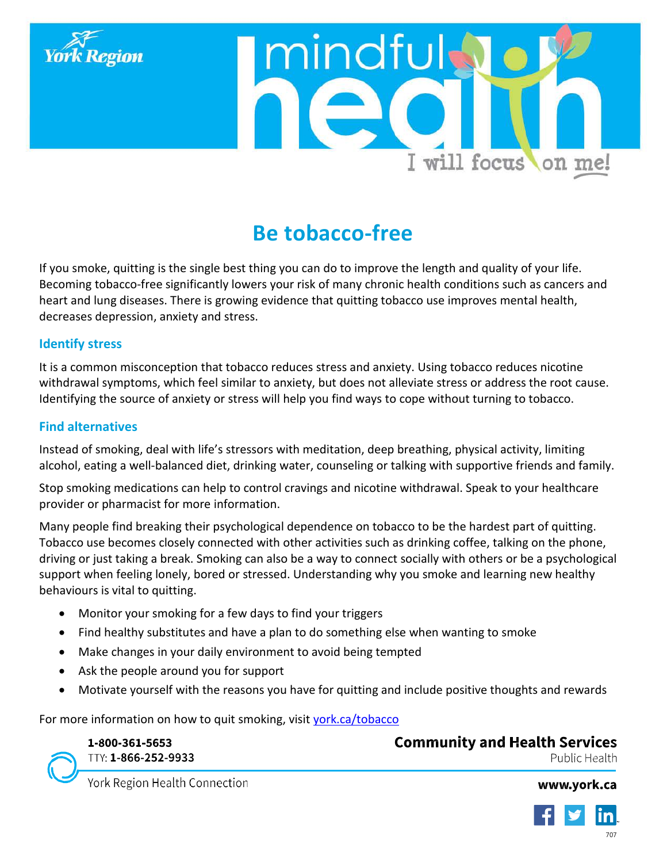



# **Be tobacco-free**

If you smoke, quitting is the single best thing you can do to improve the length and quality of your life. Becoming tobacco-free significantly lowers your risk of many chronic health conditions such as cancers and heart and lung diseases. There is growing evidence that quitting tobacco use improves mental health, decreases depression, anxiety and stress.

#### **Identify stress**

It is a common misconception that tobacco reduces stress and anxiety. Using tobacco reduces nicotine withdrawal symptoms, which feel similar to anxiety, but does not alleviate stress or address the root cause. Identifying the source of anxiety or stress will help you find ways to cope without turning to tobacco.

#### **Find alternatives**

Instead of smoking, deal with life's stressors with meditation, deep breathing, physical activity, limiting alcohol, eating a well-balanced diet, drinking water, counseling or talking with supportive friends and family.

Stop smoking medications can help to control cravings and nicotine withdrawal. Speak to your healthcare provider or pharmacist for more information.

Many people find breaking their psychological dependence on tobacco to be the hardest part of quitting. Tobacco use becomes closely connected with other activities such as drinking coffee, talking on the phone, driving or just taking a break. Smoking can also be a way to connect socially with others or be a psychological support when feeling lonely, bored or stressed. Understanding why you smoke and learning new healthy behaviours is vital to quitting.

- Monitor your smoking for a few days to find your triggers
- Find healthy substitutes and have a plan to do something else when wanting to smoke
- Make changes in your daily environment to avoid being tempted
- Ask the people around you for support
- Motivate yourself with the reasons you have for quitting and include positive thoughts and rewards

For more information on how to quit smoking, visit [york.ca/tobacco](http://www.york.ca/tobacco)

1-800-361-5653 TTY: 1-866-252-9933 **Community and Health Services** Public Health

York Region Health Connection

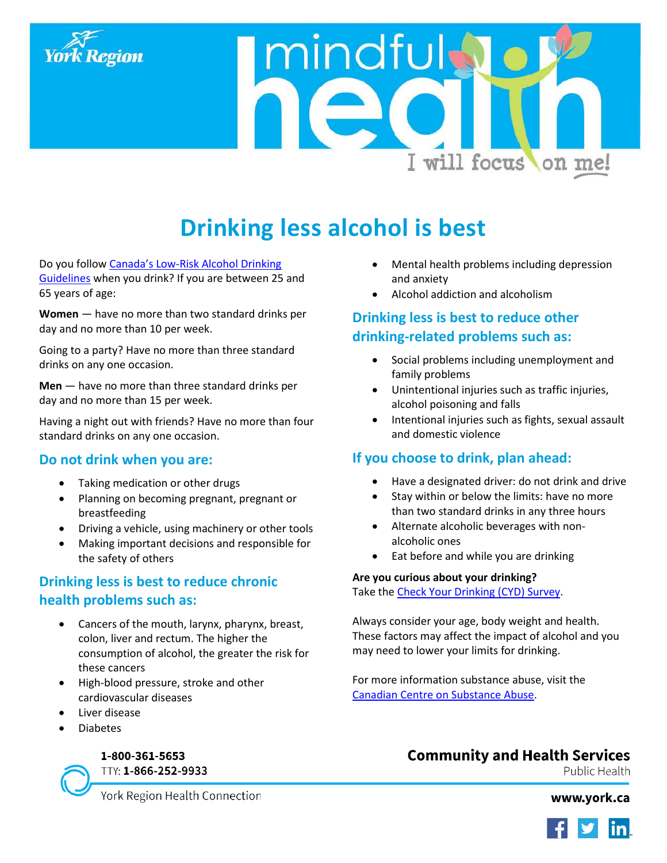

mindful I will focus on me!

# **Drinking less alcohol is best**

Do you follo[w Canada's Low-Risk Alcohol Drinking](http://www.ccsa.ca/Eng/topics/alcohol/drinking-guidelines/Pages/default.aspx)  [Guidelines](http://www.ccsa.ca/Eng/topics/alcohol/drinking-guidelines/Pages/default.aspx) when you drink? If you are between 25 and 65 years of age:

**Women** — have no more than two standard drinks per day and no more than 10 per week.

Going to a party? Have no more than three standard drinks on any one occasion.

**Men** — have no more than three standard drinks per day and no more than 15 per week.

Having a night out with friends? Have no more than four standard drinks on any one occasion.

## **Do not drink when you are:**

- Taking medication or other drugs
- Planning on becoming pregnant, pregnant or breastfeeding
- Driving a vehicle, using machinery or other tools
- Making important decisions and responsible for the safety of others

# **Drinking less is best to reduce chronic health problems such as:**

- Cancers of the mouth, larynx, pharynx, breast, colon, liver and rectum. The higher the consumption of alcohol, the greater the risk for these cancers
- High-blood pressure, stroke and other cardiovascular diseases
- Liver disease
- Diabetes

# 1-800-361-5653

TTY: 1-866-252-9933

- Mental health problems including depression and anxiety
- Alcohol addiction and alcoholism

# **Drinking less is best to reduce other drinking-related problems such as:**

- Social problems including unemployment and family problems
- Unintentional injuries such as traffic injuries, alcohol poisoning and falls
- Intentional injuries such as fights, sexual assault and domestic violence

# **If you choose to drink, plan ahead:**

- Have a designated driver: do not drink and drive
- Stay within or below the limits: have no more than two standard drinks in any three hours
- Alternate alcoholic beverages with nonalcoholic ones
- Eat before and while you are drinking

#### **Are you curious about your drinking?**

Take th[e Check Your Drinking \(CYD\) Survey.](http://camh.alcoholhelpcenter.net/cyd/CYDScreenerP1_0.aspx)

Always consider your age, body weight and health. These factors may affect the impact of alcohol and you may need to lower your limits for drinking.

For more information substance abuse, visit the [Canadian Centre on Substance Abuse.](http://www.ccsa.ca/)

# **Community and Health Services**

Public Health

York Region Health Connection

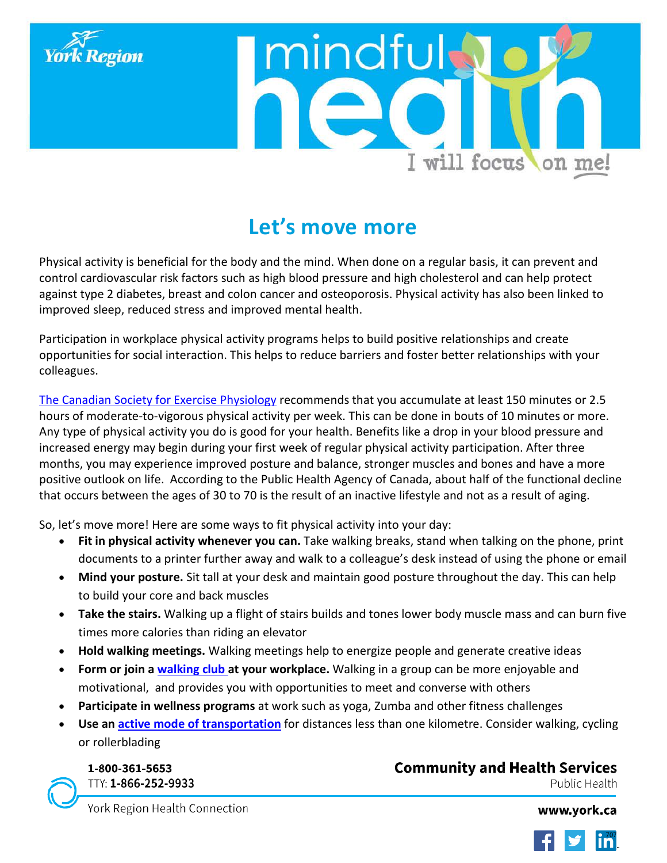



# **Let's move more**

Physical activity is beneficial for the body and the mind. When done on a regular basis, it can prevent and control cardiovascular risk factors such as high blood pressure and high cholesterol and can help protect against type 2 diabetes, breast and colon cancer and osteoporosis. Physical activity has also been linked to improved sleep, reduced stress and improved mental health.

Participation in workplace physical activity programs helps to build positive relationships and create opportunities for social interaction. This helps to reduce barriers and foster better relationships with your colleagues.

[The Canadian Society for Exercise Physiology](http://www.csep.ca/CMFiles/Guidelines/CSEP_PAGuidelines_adults_en.pdf) recommends that you accumulate at least 150 minutes or 2.5 hours of moderate-to-vigorous physical activity per week. This can be done in bouts of 10 minutes or more. Any type of physical activity you do is good for your health. Benefits like a drop in your blood pressure and increased energy may begin during your first week of regular physical activity participation. After three months, you may experience improved posture and balance, stronger muscles and bones and have a more positive outlook on life. According to the Public Health Agency of Canada, about half of the functional decline that occurs between the ages of 30 to 70 is the result of an inactive lifestyle and not as a result of aging.

So, let's move more! Here are some ways to fit physical activity into your day:

- **Fit in physical activity whenever you can.** Take walking breaks, stand when talking on the phone, print documents to a printer further away and walk to a colleague's desk instead of using the phone or email
- **Mind your posture.** Sit tall at your desk and maintain good posture throughout the day. This can help to build your core and back muscles
- **Take the stairs.** Walking up a flight of stairs builds and tones lower body muscle mass and can burn five times more calories than riding an elevator
- **Hold walking meetings.** Walking meetings help to energize people and generate creative ideas
- **Form or join a [walking club a](http://www2.hamilton.ca/NR/rdonlyres/B37064B4-C434-49AE-BB18-91A7D0D48513/0/FINALPracticalGuidetoStartingaWalkingGrpWorkplace.pdf)t your workplace.** Walking in a group can be more enjoyable and motivational, and provides you with opportunities to meet and converse with others
- **Participate in wellness programs** at work such as yoga, Zumba and other fitness challenges
- **Use an [active mode of transportation](http://www.york.ca/physicalactivity/activetransportation)** for distances less than one kilometre. Consider walking, cycling or rollerblading

1-800-361-5653 TTY: 1-866-252-9933

# **Community and Health Services**

Public Health

York Region Health Connection

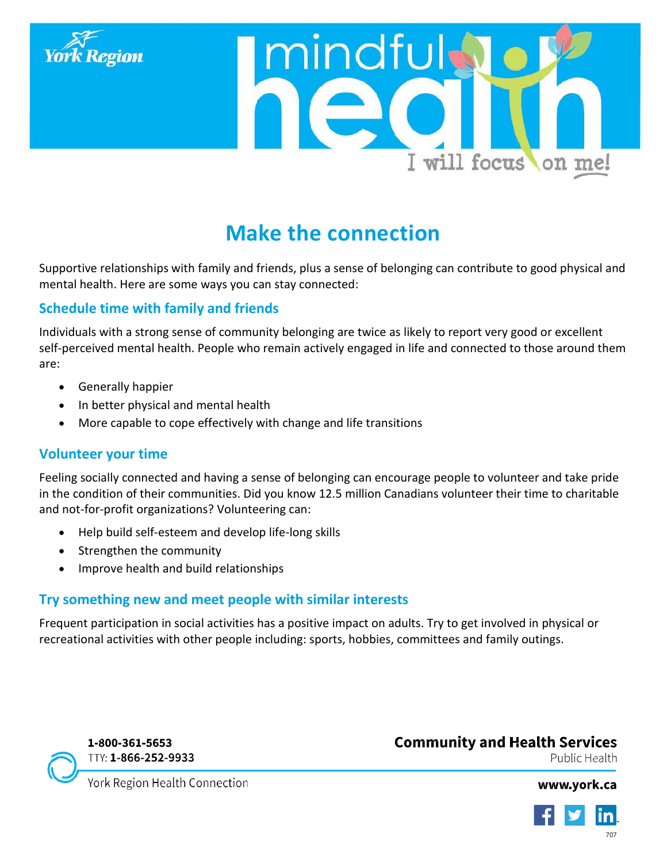



# **Make the connection**

Supportive relationships with family and friends, plus a sense of belonging can contribute to good physical and mental health. Here are some ways you can stay connected:

# **Schedule time with family and friends**

Individuals with a strong sense of community belonging are twice as likely to report very good or excellent self-perceived mental health. People who remain actively engaged in life and connected to those around them are:

- Generally happier
- In better physical and mental health
- More capable to cope effectively with change and life transitions

# **Volunteer your time**

Feeling socially connected and having a sense of belonging can encourage people to volunteer and take pride in the condition of their communities. Did you know 12.5 million Canadians volunteer their time to charitable and not-for-profit organizations? Volunteering can:

- Help build self-esteem and develop life-long skills
- Strengthen the community
- Improve health and build relationships

# **Try something new and meet people with similar interests**

Frequent participation in social activities has a positive impact on adults. Try to get involved in physical or recreational activities with other people including: sports, hobbies, committees and family outings.



# **Community and Health Services**

Public Health

York Region Health Connection

**TN**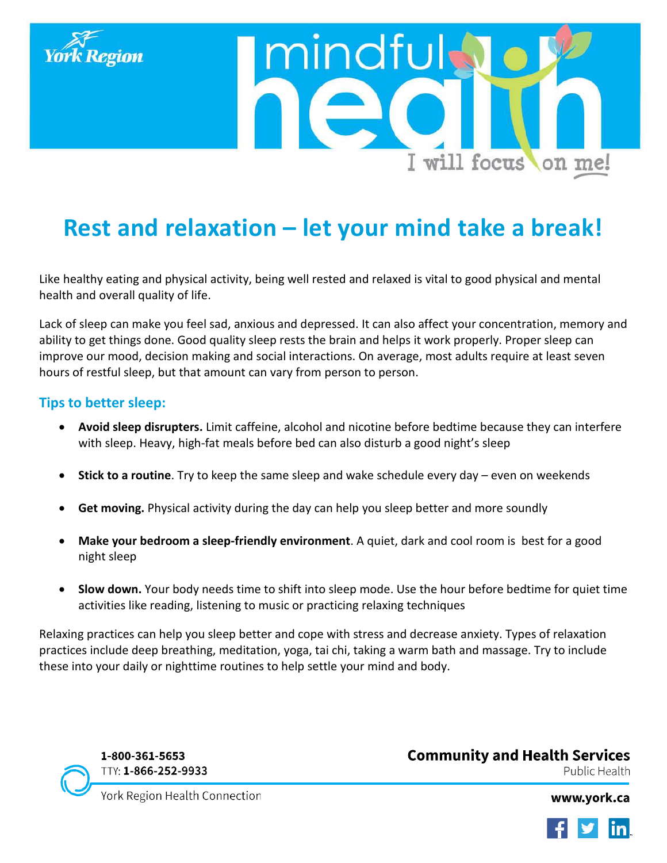

# **Rest and relaxation – let your mind take a break!**

mindfu

Like healthy eating and physical activity, being well rested and relaxed is vital to good physical and mental health and overall quality of life.

Lack of sleep can make you feel sad, anxious and depressed. It can also affect your concentration, memory and ability to get things done. Good quality sleep rests the brain and helps it work properly. Proper sleep can improve our mood, decision making and social interactions. On average, most adults require at least seven hours of restful sleep, but that amount can vary from person to person.

## **Tips to better sleep:**

- **Avoid sleep disrupters.** Limit caffeine, alcohol and nicotine before bedtime because they can interfere with sleep. Heavy, high-fat meals before bed can also disturb a good night's sleep
- **Stick to a routine**. Try to keep the same sleep and wake schedule every day even on weekends
- **Get moving.** Physical activity during the day can help you sleep better and more soundly
- **Make your bedroom a sleep-friendly environment**. A quiet, dark and cool room is best for a good night sleep
- **Slow down.** Your body needs time to shift into sleep mode. Use the hour before bedtime for quiet time activities like reading, listening to music or practicing relaxing techniques

Relaxing practices can help you sleep better and cope with stress and decrease anxiety. Types of relaxation practices include deep breathing, meditation, yoga, tai chi, taking a warm bath and massage. Try to include these into your daily or nighttime routines to help settle your mind and body.

1-800-361-5653 TTY: 1-866-252-9933 **Community and Health Services** Public Health

I will focus on me!

York Region Health Connection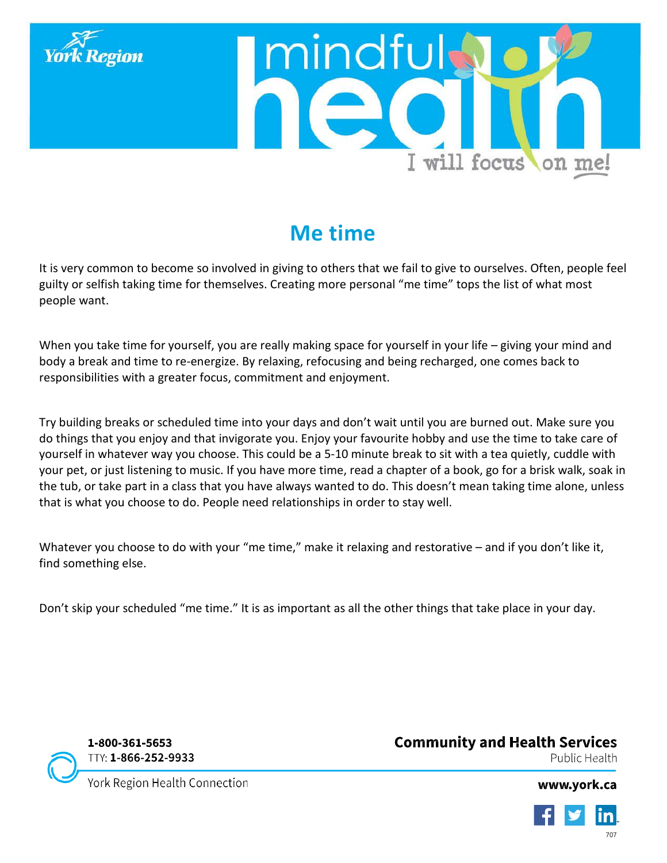

# **Me time**

It is very common to become so involved in giving to others that we fail to give to ourselves. Often, people feel guilty or selfish taking time for themselves. Creating more personal "me time" tops the list of what most people want.

When you take time for yourself, you are really making space for yourself in your life – giving your mind and body a break and time to re-energize. By relaxing, refocusing and being recharged, one comes back to responsibilities with a greater focus, commitment and enjoyment.

Try building breaks or scheduled time into your days and don't wait until you are burned out. Make sure you do things that you enjoy and that invigorate you. Enjoy your favourite hobby and use the time to take care of yourself in whatever way you choose. This could be a 5-10 minute break to sit with a tea quietly, cuddle with your pet, or just listening to music. If you have more time, read a chapter of a book, go for a brisk walk, soak in the tub, or take part in a class that you have always wanted to do. This doesn't mean taking time alone, unless that is what you choose to do. People need relationships in order to stay well.

Whatever you choose to do with your "me time," make it relaxing and restorative – and if you don't like it, find something else.

Don't skip your scheduled "me time." It is as important as all the other things that take place in your day.



1-800-361-5653 TTY: 1-866-252-9933 **Community and Health Services** Public Health

York Region Health Connection

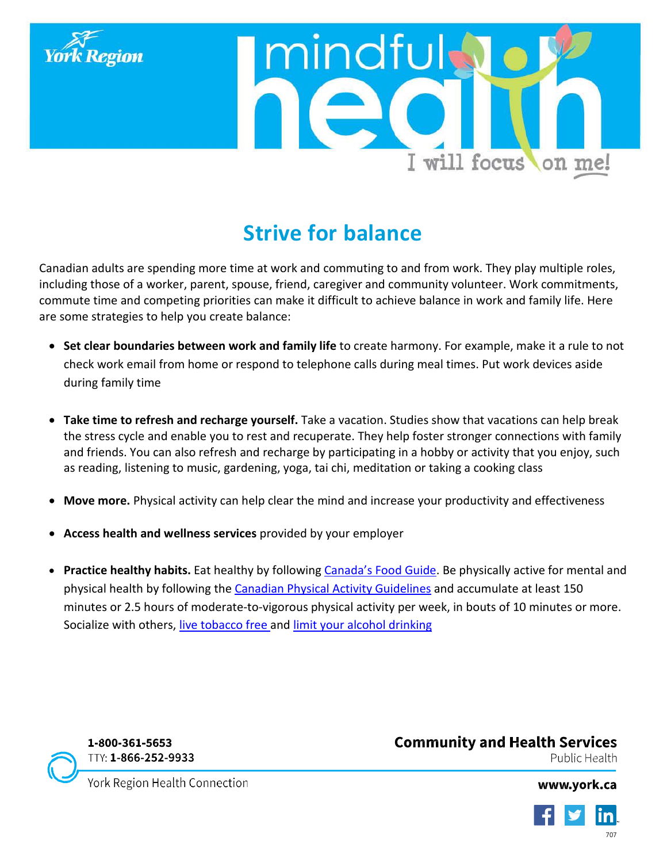



# **Strive for balance**

Canadian adults are spending more time at work and commuting to and from work. They play multiple roles, including those of a worker, parent, spouse, friend, caregiver and community volunteer. Work commitments, commute time and competing priorities can make it difficult to achieve balance in work and family life. Here are some strategies to help you create balance:

- **Set clear boundaries between work and family life** to create harmony. For example, make it a rule to not check work email from home or respond to telephone calls during meal times. Put work devices aside during family time
- **Take time to refresh and recharge yourself.** Take a vacation. Studies show that vacations can help break the stress cycle and enable you to rest and recuperate. They help foster stronger connections with family and friends. You can also refresh and recharge by participating in a hobby or activity that you enjoy, such as reading, listening to music, gardening, yoga, tai chi, meditation or taking a cooking class
- **Move more.** Physical activity can help clear the mind and increase your productivity and effectiveness
- **Access health and wellness services** provided by your employer
- **Practice healthy habits.** Eat healthy by following [Canada's Food Guide.](http://www.hc-sc.gc.ca/fn-an/food-guide-aliment/order-commander/index-eng.php) Be physically active for mental and physical health by following the [Canadian Physical Activity Guidelines](http://www.csep.ca/CMFiles/Guidelines/CSEP_PAGuidelines_adults_en.pdf) and accumulate at least 150 minutes or 2.5 hours of moderate-to-vigorous physical activity per week, in bouts of 10 minutes or more. Socialize with others, [live tobacco free a](http://www.york.ca/tobacco)nd [limit your](http://www.york.ca/wps/portal/yorkhome/health/yr/substanceuse/alcohol/alcohol/) alcohol drinking



1-800-361-5653 TTY: 1-866-252-9933 **Community and Health Services** Public Health

York Region Health Connection